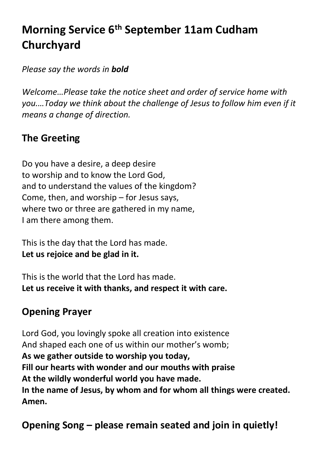# **Morning Service 6 th September 11am Cudham Churchyard**

*Please say the words in bold*

*Welcome…Please take the notice sheet and order of service home with you.…Today we think about the challenge of Jesus to follow him even if it means a change of direction.*

# **The Greeting**

Do you have a desire, a deep desire to worship and to know the Lord God, and to understand the values of the kingdom? Come, then, and worship – for Jesus says, where two or three are gathered in my name, I am there among them.

This is the day that the Lord has made. **Let us rejoice and be glad in it.**

This is the world that the Lord has made. **Let us receive it with thanks, and respect it with care.**

# **Opening Prayer**

Lord God, you lovingly spoke all creation into existence And shaped each one of us within our mother's womb; **As we gather outside to worship you today, Fill our hearts with wonder and our mouths with praise At the wildly wonderful world you have made. In the name of Jesus, by whom and for whom all things were created. Amen.**

**Opening Song – please remain seated and join in quietly!**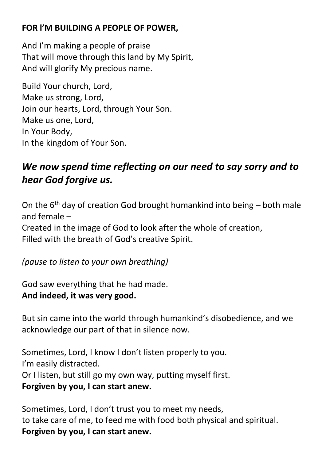#### **FOR l'M BUILDING A PEOPLE OF POWER,**

And I'm making a people of praise That will move through this land by My Spirit, And will glorify My precious name.

Build Your church, Lord, Make us strong, Lord, Join our hearts, Lord, through Your Son. Make us one, Lord, In Your Body, In the kingdom of Your Son.

# *We now spend time reflecting on our need to say sorry and to hear God forgive us.*

On the  $6<sup>th</sup>$  day of creation God brought humankind into being – both male and female –

Created in the image of God to look after the whole of creation, Filled with the breath of God's creative Spirit.

*(pause to listen to your own breathing)*

God saw everything that he had made. **And indeed, it was very good.**

But sin came into the world through humankind's disobedience, and we acknowledge our part of that in silence now.

Sometimes, Lord, I know I don't listen properly to you. I'm easily distracted. Or I listen, but still go my own way, putting myself first. **Forgiven by you, I can start anew.**

Sometimes, Lord, I don't trust you to meet my needs, to take care of me, to feed me with food both physical and spiritual. **Forgiven by you, I can start anew.**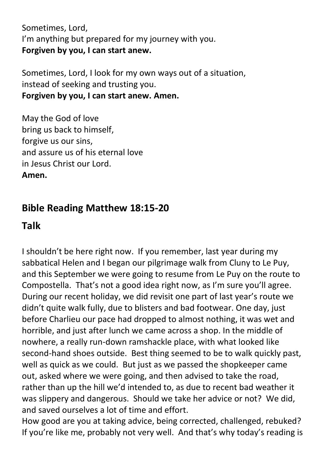Sometimes, Lord, I'm anything but prepared for my journey with you. **Forgiven by you, I can start anew.**

Sometimes, Lord, I look for my own ways out of a situation, instead of seeking and trusting you. **Forgiven by you, I can start anew. Amen.**

May the God of love bring us back to himself, forgive us our sins, and assure us of his eternal love in Jesus Christ our Lord. **Amen.**

# **Bible Reading Matthew 18:15-20**

## **Talk**

I shouldn't be here right now. If you remember, last year during my sabbatical Helen and I began our pilgrimage walk from Cluny to Le Puy, and this September we were going to resume from Le Puy on the route to Compostella. That's not a good idea right now, as I'm sure you'll agree. During our recent holiday, we did revisit one part of last year's route we didn't quite walk fully, due to blisters and bad footwear. One day, just before Charlieu our pace had dropped to almost nothing, it was wet and horrible, and just after lunch we came across a shop. In the middle of nowhere, a really run-down ramshackle place, with what looked like second-hand shoes outside. Best thing seemed to be to walk quickly past, well as quick as we could. But just as we passed the shopkeeper came out, asked where we were going, and then advised to take the road, rather than up the hill we'd intended to, as due to recent bad weather it was slippery and dangerous. Should we take her advice or not? We did, and saved ourselves a lot of time and effort.

How good are you at taking advice, being corrected, challenged, rebuked? If you're like me, probably not very well. And that's why today's reading is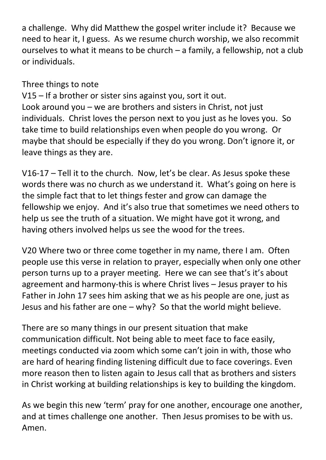a challenge. Why did Matthew the gospel writer include it? Because we need to hear it, I guess. As we resume church worship, we also recommit ourselves to what it means to be church – a family, a fellowship, not a club or individuals.

#### Three things to note

V15 – If a brother or sister sins against you, sort it out. Look around you – we are brothers and sisters in Christ, not just individuals. Christ loves the person next to you just as he loves you. So take time to build relationships even when people do you wrong. Or maybe that should be especially if they do you wrong. Don't ignore it, or leave things as they are.

V16-17 – Tell it to the church. Now, let's be clear. As Jesus spoke these words there was no church as we understand it. What's going on here is the simple fact that to let things fester and grow can damage the fellowship we enjoy. And it's also true that sometimes we need others to help us see the truth of a situation. We might have got it wrong, and having others involved helps us see the wood for the trees.

V20 Where two or three come together in my name, there I am. Often people use this verse in relation to prayer, especially when only one other person turns up to a prayer meeting. Here we can see that's it's about agreement and harmony-this is where Christ lives – Jesus prayer to his Father in John 17 sees him asking that we as his people are one, just as Jesus and his father are one – why? So that the world might believe.

There are so many things in our present situation that make communication difficult. Not being able to meet face to face easily, meetings conducted via zoom which some can't join in with, those who are hard of hearing finding listening difficult due to face coverings. Even more reason then to listen again to Jesus call that as brothers and sisters in Christ working at building relationships is key to building the kingdom.

As we begin this new 'term' pray for one another, encourage one another, and at times challenge one another. Then Jesus promises to be with us. Amen.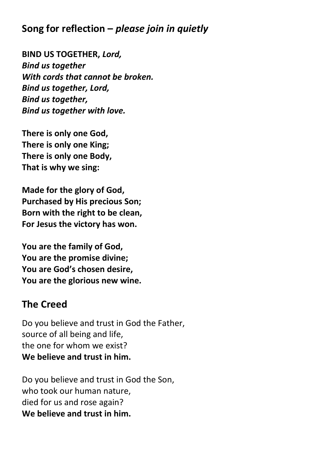# **Song for reflection –** *please join in quietly*

**BIND US TOGETHER,** *Lord, Bind us together With cords that cannot be broken. Bind us together, Lord, Bind us together, Bind us together with love.*

**There is only one God, There is only one King; There is only one Body, That is why we sing:**

**Made for the glory of God, Purchased by His precious Son; Born with the right to be clean, For Jesus the victory has won.**

**You are the family of God, You are the promise divine; You are God's chosen desire, You are the glorious new wine.** 

## **The Creed**

Do you believe and trust in God the Father, source of all being and life, the one for whom we exist? **We believe and trust in him.**

Do you believe and trust in God the Son, who took our human nature, died for us and rose again? **We believe and trust in him.**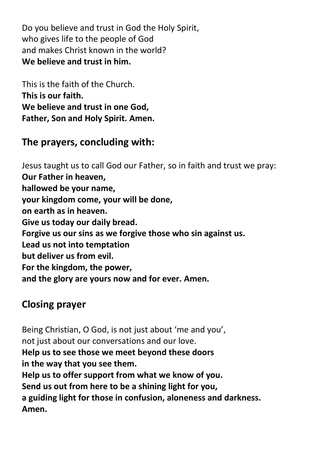Do you believe and trust in God the Holy Spirit, who gives life to the people of God and makes Christ known in the world? **We believe and trust in him.**

This is the faith of the Church. **This is our faith. We believe and trust in one God, Father, Son and Holy Spirit. Amen.**

# **The prayers, concluding with:**

Jesus taught us to call God our Father, so in faith and trust we pray: **Our Father in heaven, hallowed be your name, your kingdom come, your will be done, on earth as in heaven. Give us today our daily bread. Forgive us our sins as we forgive those who sin against us. Lead us not into temptation but deliver us from evil. For the kingdom, the power, and the glory are yours now and for ever. Amen.**

## **Closing prayer**

Being Christian, O God, is not just about 'me and you', not just about our conversations and our love. **Help us to see those we meet beyond these doors in the way that you see them. Help us to offer support from what we know of you. Send us out from here to be a shining light for you, a guiding light for those in confusion, aloneness and darkness. Amen.**